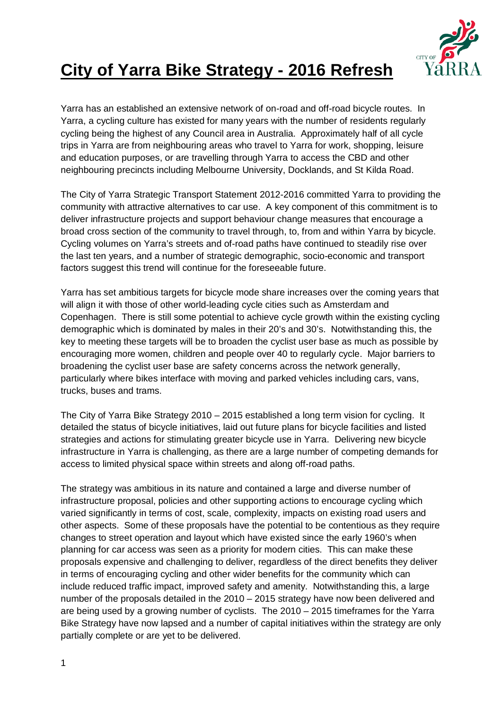

# **City of Yarra Bike Strategy - 2016 Refresh**

Yarra has an established an extensive network of on-road and off-road bicycle routes. In Yarra, a cycling culture has existed for many years with the number of residents regularly cycling being the highest of any Council area in Australia. Approximately half of all cycle trips in Yarra are from neighbouring areas who travel to Yarra for work, shopping, leisure and education purposes, or are travelling through Yarra to access the CBD and other neighbouring precincts including Melbourne University, Docklands, and St Kilda Road.

The City of Yarra Strategic Transport Statement 2012-2016 committed Yarra to providing the community with attractive alternatives to car use. A key component of this commitment is to deliver infrastructure projects and support behaviour change measures that encourage a broad cross section of the community to travel through, to, from and within Yarra by bicycle. Cycling volumes on Yarra's streets and of-road paths have continued to steadily rise over the last ten years, and a number of strategic demographic, socio-economic and transport factors suggest this trend will continue for the foreseeable future.

Yarra has set ambitious targets for bicycle mode share increases over the coming years that will align it with those of other world-leading cycle cities such as Amsterdam and Copenhagen. There is still some potential to achieve cycle growth within the existing cycling demographic which is dominated by males in their 20's and 30's. Notwithstanding this, the key to meeting these targets will be to broaden the cyclist user base as much as possible by encouraging more women, children and people over 40 to regularly cycle. Major barriers to broadening the cyclist user base are safety concerns across the network generally, particularly where bikes interface with moving and parked vehicles including cars, vans, trucks, buses and trams.

The City of Yarra Bike Strategy 2010 – 2015 established a long term vision for cycling. It detailed the status of bicycle initiatives, laid out future plans for bicycle facilities and listed strategies and actions for stimulating greater bicycle use in Yarra. Delivering new bicycle infrastructure in Yarra is challenging, as there are a large number of competing demands for access to limited physical space within streets and along off-road paths.

The strategy was ambitious in its nature and contained a large and diverse number of infrastructure proposal, policies and other supporting actions to encourage cycling which varied significantly in terms of cost, scale, complexity, impacts on existing road users and other aspects. Some of these proposals have the potential to be contentious as they require changes to street operation and layout which have existed since the early 1960's when planning for car access was seen as a priority for modern cities. This can make these proposals expensive and challenging to deliver, regardless of the direct benefits they deliver in terms of encouraging cycling and other wider benefits for the community which can include reduced traffic impact, improved safety and amenity. Notwithstanding this, a large number of the proposals detailed in the 2010 – 2015 strategy have now been delivered and are being used by a growing number of cyclists. The 2010 – 2015 timeframes for the Yarra Bike Strategy have now lapsed and a number of capital initiatives within the strategy are only partially complete or are yet to be delivered.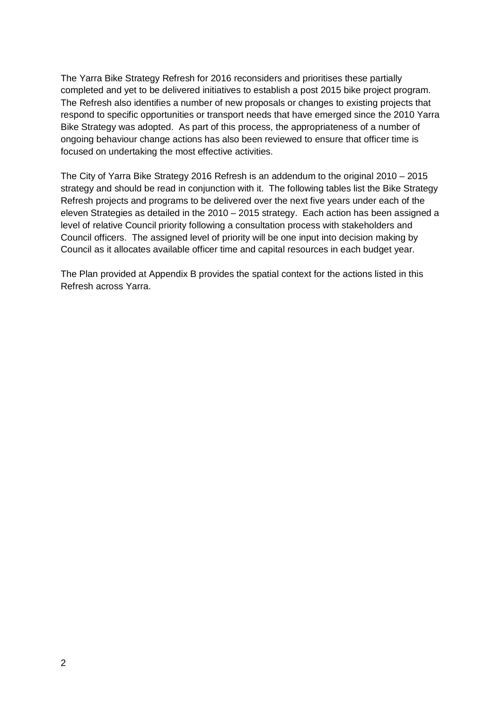The Yarra Bike Strategy Refresh for 2016 reconsiders and prioritises these partially completed and yet to be delivered initiatives to establish a post 2015 bike project program. The Refresh also identifies a number of new proposals or changes to existing projects that respond to specific opportunities or transport needs that have emerged since the 2010 Yarra Bike Strategy was adopted. As part of this process, the appropriateness of a number of ongoing behaviour change actions has also been reviewed to ensure that officer time is focused on undertaking the most effective activities.

The City of Yarra Bike Strategy 2016 Refresh is an addendum to the original 2010 – 2015 strategy and should be read in conjunction with it. The following tables list the Bike Strategy Refresh projects and programs to be delivered over the next five years under each of the eleven Strategies as detailed in the 2010 – 2015 strategy. Each action has been assigned a level of relative Council priority following a consultation process with stakeholders and Council officers. The assigned level of priority will be one input into decision making by Council as it allocates available officer time and capital resources in each budget year.

The Plan provided at Appendix B provides the spatial context for the actions listed in this Refresh across Yarra.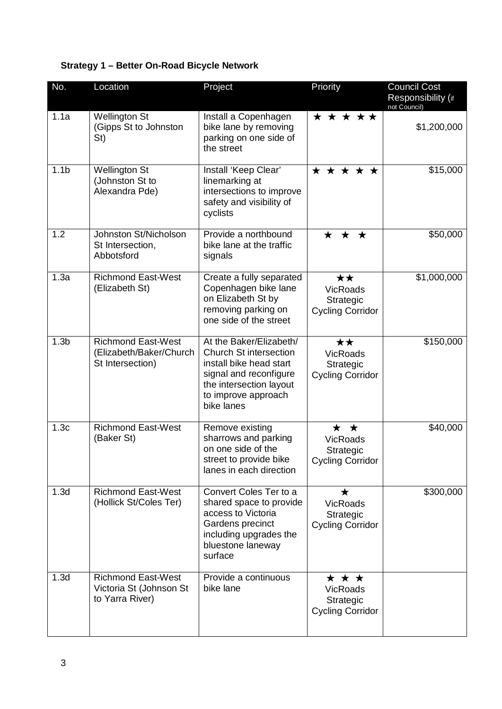## **Strategy 1 – Better On-Road Bicycle Network**

| No.              | Location                                                                 | Project                                                                                                                                                                       | Priority                                                              | <b>Council Cost</b><br>Responsibility (if<br>not Council) |
|------------------|--------------------------------------------------------------------------|-------------------------------------------------------------------------------------------------------------------------------------------------------------------------------|-----------------------------------------------------------------------|-----------------------------------------------------------|
| 1.1a             | <b>Wellington St</b><br>(Gipps St to Johnston<br>St)                     | Install a Copenhagen<br>bike lane by removing<br>parking on one side of<br>the street                                                                                         | * * * * *                                                             | \$1,200,000                                               |
| 1.1 <sub>b</sub> | <b>Wellington St</b><br>(Johnston St to<br>Alexandra Pde)                | Install 'Keep Clear'<br>linemarking at<br>intersections to improve<br>safety and visibility of<br>cyclists                                                                    | * * * * *                                                             | \$15,000                                                  |
| 1.2              | Johnston St/Nicholson<br>St Intersection,<br>Abbotsford                  | Provide a northbound<br>bike lane at the traffic<br>signals                                                                                                                   | $\star$<br>$\bigstar$<br>$\star$                                      | \$50,000                                                  |
| 1.3a             | <b>Richmond East-West</b><br>(Elizabeth St)                              | Create a fully separated<br>Copenhagen bike lane<br>on Elizabeth St by<br>removing parking on<br>one side of the street                                                       | ★★<br><b>VicRoads</b><br>Strategic<br><b>Cycling Corridor</b>         | \$1,000,000                                               |
| 1.3 <sub>b</sub> | <b>Richmond East-West</b><br>(Elizabeth/Baker/Church<br>St Intersection) | At the Baker/Elizabeth/<br><b>Church St intersection</b><br>install bike head start<br>signal and reconfigure<br>the intersection layout<br>to improve approach<br>bike lanes | ★★<br><b>VicRoads</b><br>Strategic<br><b>Cycling Corridor</b>         | \$150,000                                                 |
| 1.3 <sub>c</sub> | <b>Richmond East-West</b><br>(Baker St)                                  | Remove existing<br>sharrows and parking<br>on one side of the<br>street to provide bike<br>lanes in each direction                                                            | ★ ★<br><b>VicRoads</b><br>Strategic<br><b>Cycling Corridor</b>        | \$40,000                                                  |
| 1.3d             | <b>Richmond East-West</b><br>(Hollick St/Coles Ter)                      | Convert Coles Ter to a<br>shared space to provide<br>access to Victoria<br>Gardens precinct<br>including upgrades the<br>bluestone laneway<br>surface                         | $\bigstar$<br><b>VicRoads</b><br>Strategic<br><b>Cycling Corridor</b> | \$300,000                                                 |
| 1.3d             | <b>Richmond East-West</b><br>Victoria St (Johnson St<br>to Yarra River)  | Provide a continuous<br>bike lane                                                                                                                                             | ★ ★ ★<br><b>VicRoads</b><br>Strategic<br><b>Cycling Corridor</b>      |                                                           |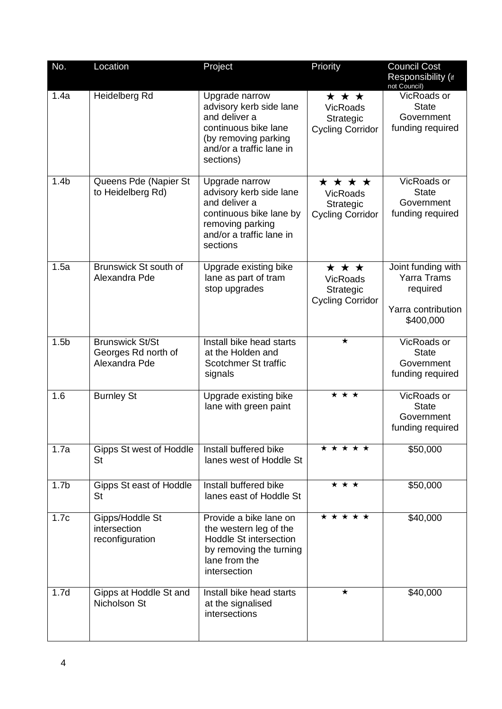| No.              | Location                                                       | Project                                                                                                                                             | Priority                                                           | <b>Council Cost</b><br>Responsibility (if<br>not Council)                               |
|------------------|----------------------------------------------------------------|-----------------------------------------------------------------------------------------------------------------------------------------------------|--------------------------------------------------------------------|-----------------------------------------------------------------------------------------|
| 1.4a             | Heidelberg Rd                                                  | Upgrade narrow<br>advisory kerb side lane<br>and deliver a<br>continuous bike lane<br>(by removing parking<br>and/or a traffic lane in<br>sections) | * * *<br><b>VicRoads</b><br>Strategic<br><b>Cycling Corridor</b>   | VicRoads or<br><b>State</b><br>Government<br>funding required                           |
| 1.4 <sub>b</sub> | Queens Pde (Napier St<br>to Heidelberg Rd)                     | Upgrade narrow<br>advisory kerb side lane<br>and deliver a<br>continuous bike lane by<br>removing parking<br>and/or a traffic lane in<br>sections   | * * * *<br><b>VicRoads</b><br>Strategic<br><b>Cycling Corridor</b> | VicRoads or<br><b>State</b><br>Government<br>funding required                           |
| 1.5a             | Brunswick St south of<br>Alexandra Pde                         | Upgrade existing bike<br>lane as part of tram<br>stop upgrades                                                                                      | * * *<br><b>VicRoads</b><br>Strategic<br><b>Cycling Corridor</b>   | Joint funding with<br><b>Yarra Trams</b><br>required<br>Yarra contribution<br>\$400,000 |
| 1.5 <sub>b</sub> | <b>Brunswick St/St</b><br>Georges Rd north of<br>Alexandra Pde | Install bike head starts<br>at the Holden and<br>Scotchmer St traffic<br>signals                                                                    | $\star$                                                            | VicRoads or<br><b>State</b><br>Government<br>funding required                           |
| 1.6              | <b>Burnley St</b>                                              | Upgrade existing bike<br>lane with green paint                                                                                                      | * * *                                                              | VicRoads or<br><b>State</b><br>Government<br>funding required                           |
| 1.7a             | Gipps St west of Hoddle<br>St                                  | Install buffered bike<br>lanes west of Hoddle St                                                                                                    | * * * * *                                                          | \$50,000                                                                                |
| 1.7 <sub>b</sub> | Gipps St east of Hoddle<br>St                                  | Install buffered bike<br>lanes east of Hoddle St                                                                                                    | $\overline{\star\star\star}$                                       | \$50,000                                                                                |
| 1.7c             | Gipps/Hoddle St<br>intersection<br>reconfiguration             | Provide a bike lane on<br>the western leg of the<br>Hoddle St intersection<br>by removing the turning<br>lane from the<br>intersection              | * * * * *                                                          | \$40,000                                                                                |
| 1.7d             | Gipps at Hoddle St and<br>Nicholson St                         | Install bike head starts<br>at the signalised<br>intersections                                                                                      | $\star$                                                            | \$40,000                                                                                |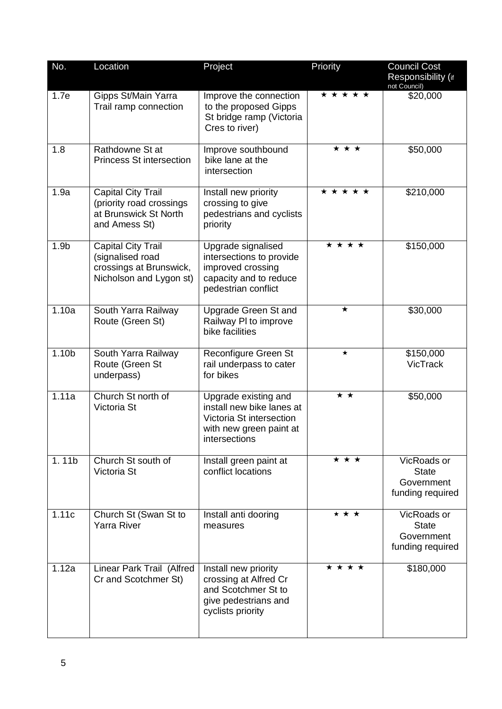| No.               | Location                                                                                            | Project                                                                                                                   | Priority  | <b>Council Cost</b><br>Responsibility (if<br>not Council)     |
|-------------------|-----------------------------------------------------------------------------------------------------|---------------------------------------------------------------------------------------------------------------------------|-----------|---------------------------------------------------------------|
| 1.7e              | Gipps St/Main Yarra<br>Trail ramp connection                                                        | Improve the connection<br>to the proposed Gipps<br>St bridge ramp (Victoria<br>Cres to river)                             | * * * * * | \$20,000                                                      |
| 1.8               | Rathdowne St at<br><b>Princess St intersection</b>                                                  | Improve southbound<br>bike lane at the<br>intersection                                                                    | * * *     | \$50,000                                                      |
| 1.9a              | <b>Capital City Trail</b><br>(priority road crossings<br>at Brunswick St North<br>and Amess St)     | Install new priority<br>crossing to give<br>pedestrians and cyclists<br>priority                                          | * * * * * | \$210,000                                                     |
| 1.9 <sub>b</sub>  | <b>Capital City Trail</b><br>(signalised road<br>crossings at Brunswick,<br>Nicholson and Lygon st) | Upgrade signalised<br>intersections to provide<br>improved crossing<br>capacity and to reduce<br>pedestrian conflict      | * * * *   | \$150,000                                                     |
| 1.10a             | South Yarra Railway<br>Route (Green St)                                                             | Upgrade Green St and<br>Railway PI to improve<br>bike facilities                                                          | $\star$   | \$30,000                                                      |
| 1.10 <sub>b</sub> | South Yarra Railway<br>Route (Green St<br>underpass)                                                | Reconfigure Green St<br>rail underpass to cater<br>for bikes                                                              | $\star$   | \$150,000<br><b>VicTrack</b>                                  |
| 1.11a             | Church St north of<br>Victoria St                                                                   | Upgrade existing and<br>install new bike lanes at<br>Victoria St intersection<br>with new green paint at<br>intersections | * *       | \$50,000                                                      |
| 1.11b             | Church St south of<br>Victoria St                                                                   | Install green paint at<br>conflict locations                                                                              | * * *     | VicRoads or<br><b>State</b><br>Government<br>funding required |
| 1.11c             | Church St (Swan St to<br><b>Yarra River</b>                                                         | Install anti dooring<br>measures                                                                                          | * * *     | VicRoads or<br><b>State</b><br>Government<br>funding required |
| 1.12a             | Linear Park Trail (Alfred<br>Cr and Scotchmer St)                                                   | Install new priority<br>crossing at Alfred Cr<br>and Scotchmer St to<br>give pedestrians and<br>cyclists priority         | * * * *   | \$180,000                                                     |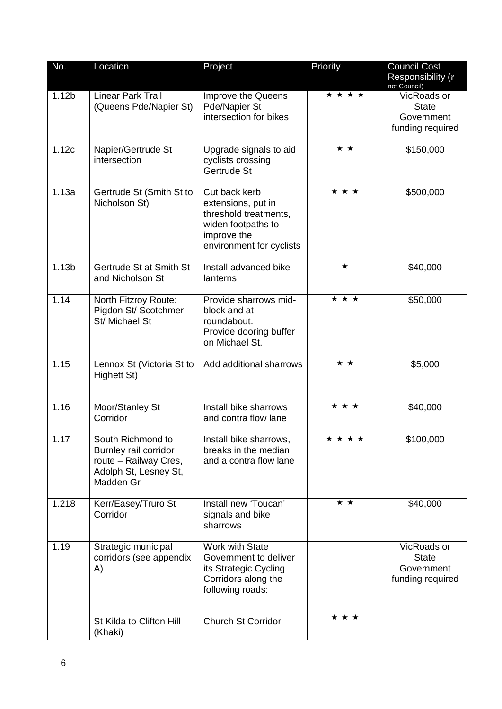| No.               | Location                                                                                                  | Project                                                                                                                       | Priority                     | <b>Council Cost</b><br>Responsibility (if<br>not Council)     |
|-------------------|-----------------------------------------------------------------------------------------------------------|-------------------------------------------------------------------------------------------------------------------------------|------------------------------|---------------------------------------------------------------|
| 1.12 <sub>b</sub> | <b>Linear Park Trail</b><br>(Queens Pde/Napier St)                                                        | Improve the Queens<br>Pde/Napier St<br>intersection for bikes                                                                 | * * * *                      | VicRoads or<br><b>State</b><br>Government<br>funding required |
| 1.12c             | Napier/Gertrude St<br>intersection                                                                        | Upgrade signals to aid<br>cyclists crossing<br>Gertrude St                                                                    | ★★                           | \$150,000                                                     |
| 1.13a             | Gertrude St (Smith St to<br>Nicholson St)                                                                 | Cut back kerb<br>extensions, put in<br>threshold treatments,<br>widen footpaths to<br>improve the<br>environment for cyclists | * * *                        | \$500,000                                                     |
| 1.13 <sub>b</sub> | Gertrude St at Smith St<br>and Nicholson St                                                               | Install advanced bike<br>lanterns                                                                                             | $\star$                      | \$40,000                                                      |
| 1.14              | North Fitzroy Route:<br>Pigdon St/ Scotchmer<br>St/ Michael St                                            | Provide sharrows mid-<br>block and at<br>roundabout.<br>Provide dooring buffer<br>on Michael St.                              | $\overline{\star\star\star}$ | \$50,000                                                      |
| 1.15              | Lennox St (Victoria St to<br>Highett St)                                                                  | Add additional sharrows                                                                                                       | * *                          | \$5,000                                                       |
| 1.16              | Moor/Stanley St<br>Corridor                                                                               | Install bike sharrows<br>and contra flow lane                                                                                 | * * *                        | \$40,000                                                      |
| 1.17              | South Richmond to<br>Burnley rail corridor<br>route - Railway Cres,<br>Adolph St, Lesney St,<br>Madden Gr | Install bike sharrows,<br>breaks in the median<br>and a contra flow lane                                                      | <b>* * * *</b>               | \$100,000                                                     |
| 1.218             | Kerr/Easey/Truro St<br>Corridor                                                                           | Install new 'Toucan'<br>signals and bike<br>sharrows                                                                          | * *                          | \$40,000                                                      |
| 1.19              | Strategic municipal<br>corridors (see appendix<br>A)                                                      | <b>Work with State</b><br>Government to deliver<br>its Strategic Cycling<br>Corridors along the<br>following roads:           |                              | VicRoads or<br><b>State</b><br>Government<br>funding required |
|                   | St Kilda to Clifton Hill<br>(Khaki)                                                                       | <b>Church St Corridor</b>                                                                                                     | * * *                        |                                                               |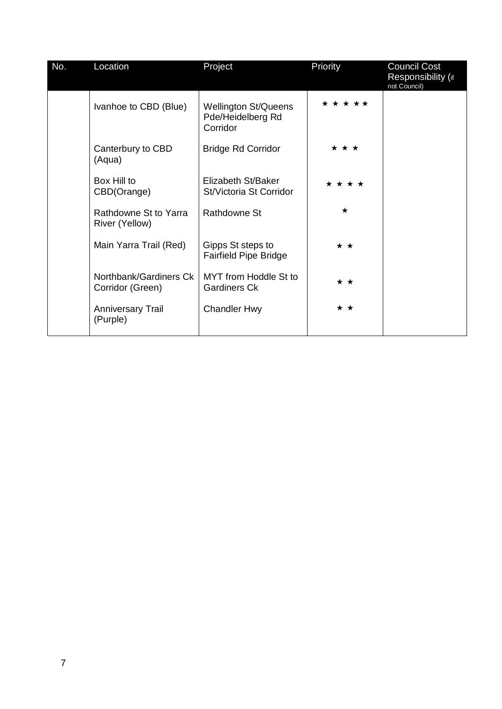| No. | Location                                   | Project                                                      | Priority        | <b>Council Cost</b><br>Responsibility (if<br>not Council) |
|-----|--------------------------------------------|--------------------------------------------------------------|-----------------|-----------------------------------------------------------|
|     | Ivanhoe to CBD (Blue)                      | <b>Wellington St/Queens</b><br>Pde/Heidelberg Rd<br>Corridor | * * * * *       |                                                           |
|     | Canterbury to CBD<br>(Aqua)                | <b>Bridge Rd Corridor</b>                                    | * * *           |                                                           |
|     | Box Hill to<br>CBD(Orange)                 | Elizabeth St/Baker<br>St/Victoria St Corridor                | * * * *         |                                                           |
|     | Rathdowne St to Yarra<br>River (Yellow)    | <b>Rathdowne St</b>                                          | $\star$         |                                                           |
|     | Main Yarra Trail (Red)                     | Gipps St steps to<br><b>Fairfield Pipe Bridge</b>            | $\star$ $\star$ |                                                           |
|     | Northbank/Gardiners Ck<br>Corridor (Green) | MYT from Hoddle St to<br><b>Gardiners Ck</b>                 | * *             |                                                           |
|     | <b>Anniversary Trail</b><br>(Purple)       | <b>Chandler Hwy</b>                                          | * *             |                                                           |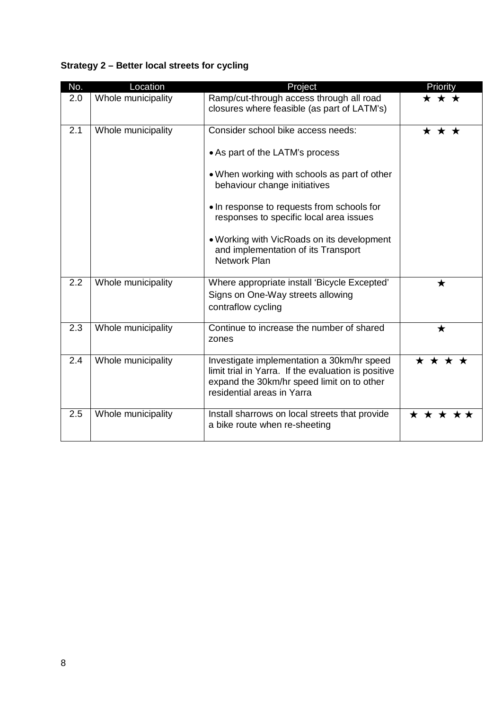## **Strategy 2 – Better local streets for cycling**

| No. | Location           | Project                                                                                                                                                                                                                                                                                                                                             | Priority  |
|-----|--------------------|-----------------------------------------------------------------------------------------------------------------------------------------------------------------------------------------------------------------------------------------------------------------------------------------------------------------------------------------------------|-----------|
| 2.0 | Whole municipality | Ramp/cut-through access through all road<br>closures where feasible (as part of LATM's)                                                                                                                                                                                                                                                             | ★ ★ ★     |
| 2.1 | Whole municipality | Consider school bike access needs:<br>• As part of the LATM's process<br>• When working with schools as part of other<br>behaviour change initiatives<br>• In response to requests from schools for<br>responses to specific local area issues<br>• Working with VicRoads on its development<br>and implementation of its Transport<br>Network Plan | ★ ★ ★     |
| 2.2 | Whole municipality | Where appropriate install 'Bicycle Excepted'<br>Signs on One-Way streets allowing<br>contraflow cycling                                                                                                                                                                                                                                             | ★         |
| 2.3 | Whole municipality | Continue to increase the number of shared<br>zones                                                                                                                                                                                                                                                                                                  | ★         |
| 2.4 | Whole municipality | Investigate implementation a 30km/hr speed<br>limit trial in Yarra. If the evaluation is positive<br>expand the 30km/hr speed limit on to other<br>residential areas in Yarra                                                                                                                                                                       | * * * *   |
| 2.5 | Whole municipality | Install sharrows on local streets that provide<br>a bike route when re-sheeting                                                                                                                                                                                                                                                                     | * * * * * |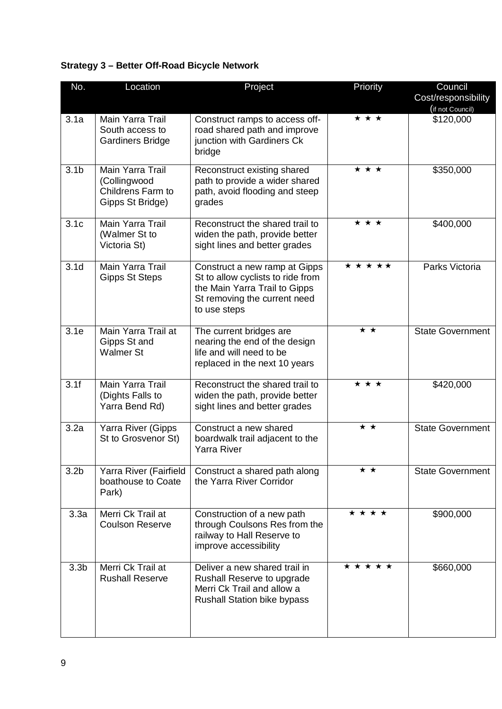## **Strategy 3 – Better Off-Road Bicycle Network**

| No.              | Location                                                                  | Project                                                                                                                                             | Priority  | Council                                 |
|------------------|---------------------------------------------------------------------------|-----------------------------------------------------------------------------------------------------------------------------------------------------|-----------|-----------------------------------------|
|                  |                                                                           |                                                                                                                                                     |           | Cost/responsibility<br>(if not Council) |
| 3.1a             | Main Yarra Trail<br>South access to<br><b>Gardiners Bridge</b>            | Construct ramps to access off-<br>road shared path and improve<br>junction with Gardiners Ck<br>bridge                                              | * * *     | \$120,000                               |
| 3.1 <sub>b</sub> | Main Yarra Trail<br>(Collingwood<br>Childrens Farm to<br>Gipps St Bridge) | Reconstruct existing shared<br>path to provide a wider shared<br>path, avoid flooding and steep<br>grades                                           | * * *     | \$350,000                               |
| 3.1 <sub>c</sub> | Main Yarra Trail<br>(Walmer St to<br>Victoria St)                         | Reconstruct the shared trail to<br>widen the path, provide better<br>sight lines and better grades                                                  | * * *     | \$400,000                               |
| 3.1 <sub>d</sub> | Main Yarra Trail<br><b>Gipps St Steps</b>                                 | Construct a new ramp at Gipps<br>St to allow cyclists to ride from<br>the Main Yarra Trail to Gipps<br>St removing the current need<br>to use steps | * * * * * | Parks Victoria                          |
| 3.1e             | Main Yarra Trail at<br>Gipps St and<br><b>Walmer St</b>                   | The current bridges are<br>nearing the end of the design<br>life and will need to be<br>replaced in the next 10 years                               | * *       | <b>State Government</b>                 |
| 3.1f             | Main Yarra Trail<br>(Dights Falls to<br>Yarra Bend Rd)                    | Reconstruct the shared trail to<br>widen the path, provide better<br>sight lines and better grades                                                  | * * *     | \$420,000                               |
| 3.2a             | Yarra River (Gipps<br>St to Grosvenor St)                                 | Construct a new shared<br>boardwalk trail adjacent to the<br><b>Yarra River</b>                                                                     | ★ ★       | <b>State Government</b>                 |
| 3.2 <sub>b</sub> | Yarra River (Fairfield<br>boathouse to Coate<br>Park)                     | Construct a shared path along<br>the Yarra River Corridor                                                                                           | * *       | <b>State Government</b>                 |
| 3.3a             | Merri Ck Trail at<br><b>Coulson Reserve</b>                               | Construction of a new path<br>through Coulsons Res from the<br>railway to Hall Reserve to<br>improve accessibility                                  | * * * *   | \$900,000                               |
| 3.3 <sub>b</sub> | Merri Ck Trail at<br><b>Rushall Reserve</b>                               | Deliver a new shared trail in<br>Rushall Reserve to upgrade<br>Merri Ck Trail and allow a<br><b>Rushall Station bike bypass</b>                     | * * * * * | \$660,000                               |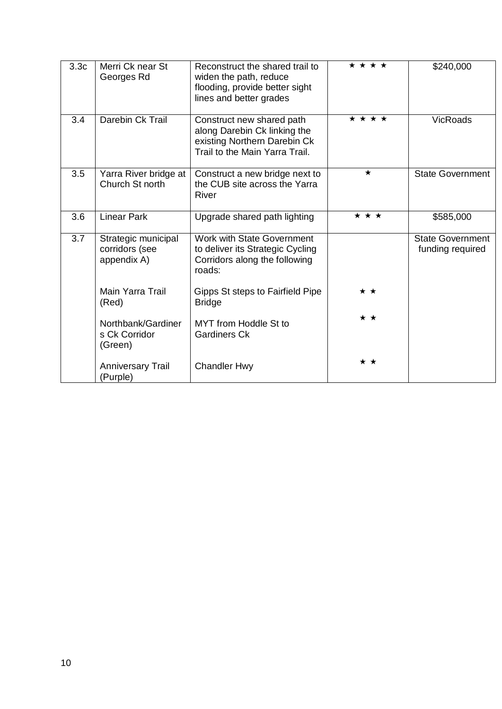| 3.3 <sub>c</sub> | Merri Ck near St<br>Georges Rd                       | Reconstruct the shared trail to<br>widen the path, reduce<br>flooding, provide better sight<br>lines and better grades      | * * * * | \$240,000                                   |
|------------------|------------------------------------------------------|-----------------------------------------------------------------------------------------------------------------------------|---------|---------------------------------------------|
| 3.4              | Darebin Ck Trail                                     | Construct new shared path<br>along Darebin Ck linking the<br>existing Northern Darebin Ck<br>Trail to the Main Yarra Trail. | * * * * | <b>VicRoads</b>                             |
| 3.5              | Yarra River bridge at<br>Church St north             | Construct a new bridge next to<br>the CUB site across the Yarra<br>River                                                    | $\star$ | <b>State Government</b>                     |
| 3.6              | <b>Linear Park</b>                                   | Upgrade shared path lighting                                                                                                | * * *   | \$585,000                                   |
| 3.7              | Strategic municipal<br>corridors (see<br>appendix A) | Work with State Government<br>to deliver its Strategic Cycling<br>Corridors along the following<br>roads:                   |         | <b>State Government</b><br>funding required |
|                  | Main Yarra Trail<br>(Red)                            | Gipps St steps to Fairfield Pipe<br><b>Bridge</b>                                                                           | * *     |                                             |
|                  | Northbank/Gardiner<br>s Ck Corridor<br>(Green)       | MYT from Hoddle St to<br><b>Gardiners Ck</b>                                                                                | * *     |                                             |
|                  | <b>Anniversary Trail</b><br>(Purple)                 | <b>Chandler Hwy</b>                                                                                                         | ★★      |                                             |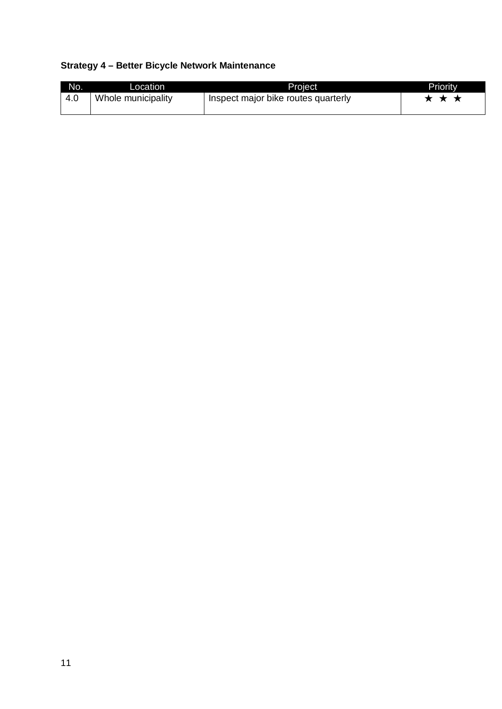## **Strategy 4 – Better Bicycle Network Maintenance**

| No. | Location <sup>1</sup> | Proiect                             | Priority |
|-----|-----------------------|-------------------------------------|----------|
| 4.0 | Whole municipality    | Inspect major bike routes quarterly | ★ ★ ★    |
|     |                       |                                     |          |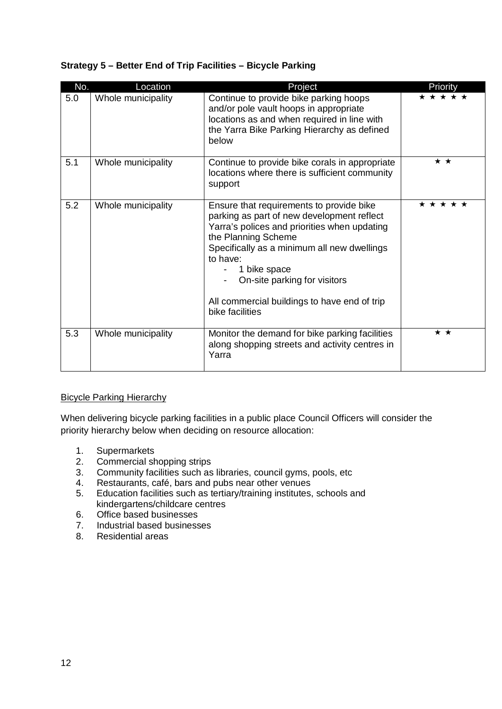#### **Strategy 5 – Better End of Trip Facilities – Bicycle Parking**

| No. | Location           | Project                                                                                                                                                                                                                                                                                                                                     | Priority        |
|-----|--------------------|---------------------------------------------------------------------------------------------------------------------------------------------------------------------------------------------------------------------------------------------------------------------------------------------------------------------------------------------|-----------------|
| 5.0 | Whole municipality | Continue to provide bike parking hoops<br>and/or pole vault hoops in appropriate<br>locations as and when required in line with<br>the Yarra Bike Parking Hierarchy as defined<br>below                                                                                                                                                     | * * * * *       |
| 5.1 | Whole municipality | Continue to provide bike corals in appropriate<br>locations where there is sufficient community<br>support                                                                                                                                                                                                                                  | * *             |
| 5.2 | Whole municipality | Ensure that requirements to provide bike<br>parking as part of new development reflect<br>Yarra's polices and priorities when updating<br>the Planning Scheme<br>Specifically as a minimum all new dwellings<br>to have:<br>1 bike space<br>On-site parking for visitors<br>All commercial buildings to have end of trip<br>bike facilities | * * * * *       |
| 5.3 | Whole municipality | Monitor the demand for bike parking facilities<br>along shopping streets and activity centres in<br>Yarra                                                                                                                                                                                                                                   | $\star$ $\star$ |

#### Bicycle Parking Hierarchy

When delivering bicycle parking facilities in a public place Council Officers will consider the priority hierarchy below when deciding on resource allocation:

- 1. Supermarkets
- 2. Commercial shopping strips
- 3. Community facilities such as libraries, council gyms, pools, etc<br>4. Restaurants, café, bars and pubs near other venues
- 4. Restaurants, café, bars and pubs near other venues<br>5. Education facilities such as tertiary/training institutes.
- 5. Education facilities such as tertiary/training institutes, schools and kindergartens/childcare centres
- 6. Office based businesses
- 7. Industrial based businesses
- 8. Residential areas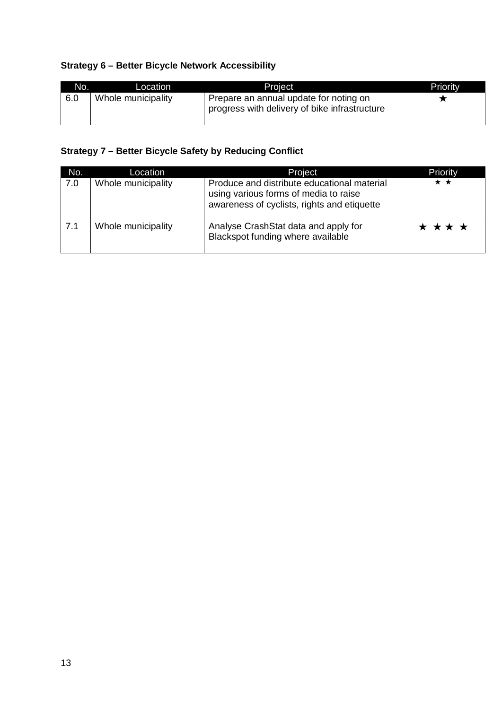#### **Strategy 6 – Better Bicycle Network Accessibility**

| No. | Location           | Project                                                                                 | Priority |
|-----|--------------------|-----------------------------------------------------------------------------------------|----------|
| 6.0 | Whole municipality | Prepare an annual update for noting on<br>progress with delivery of bike infrastructure |          |

#### **Strategy 7 – Better Bicycle Safety by Reducing Conflict**

| No. | Location           | Project                                                                                                                             | Priority |
|-----|--------------------|-------------------------------------------------------------------------------------------------------------------------------------|----------|
| 7.0 | Whole municipality | Produce and distribute educational material<br>using various forms of media to raise<br>awareness of cyclists, rights and etiquette | ★★       |
| 7.1 | Whole municipality | Analyse CrashStat data and apply for<br>Blackspot funding where available                                                           | * * * *  |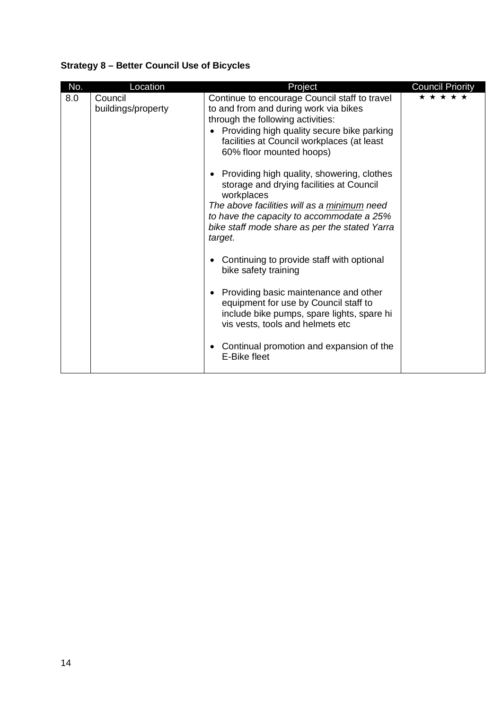## **Strategy 8 – Better Council Use of Bicycles**

| No. | Location                      | Project                                                                                                                                                                                                                                                      | <b>Council Priority</b> |
|-----|-------------------------------|--------------------------------------------------------------------------------------------------------------------------------------------------------------------------------------------------------------------------------------------------------------|-------------------------|
| 8.0 | Council<br>buildings/property | Continue to encourage Council staff to travel<br>to and from and during work via bikes<br>through the following activities:<br>Providing high quality secure bike parking<br>facilities at Council workplaces (at least<br>60% floor mounted hoops)          | * * * * *               |
|     |                               | Providing high quality, showering, clothes<br>storage and drying facilities at Council<br>workplaces<br>The above facilities will as a minimum need<br>to have the capacity to accommodate a 25%<br>bike staff mode share as per the stated Yarra<br>target. |                         |
|     |                               | Continuing to provide staff with optional<br>bike safety training                                                                                                                                                                                            |                         |
|     |                               | Providing basic maintenance and other<br>equipment for use by Council staff to<br>include bike pumps, spare lights, spare hi<br>vis vests, tools and helmets etc                                                                                             |                         |
|     |                               | Continual promotion and expansion of the<br>E-Bike fleet                                                                                                                                                                                                     |                         |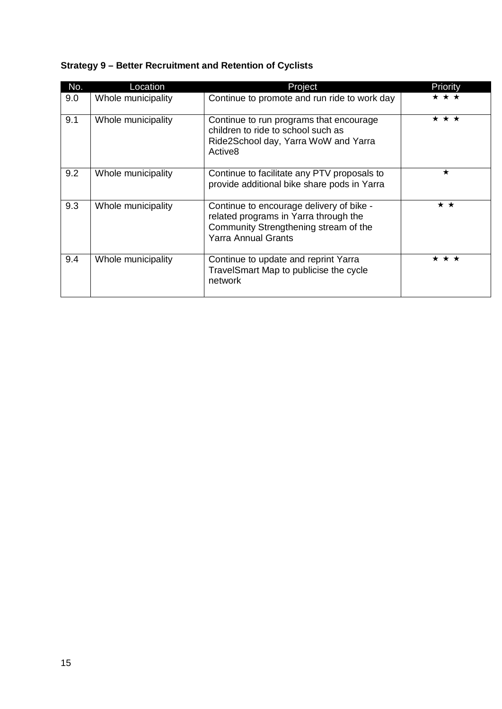| No. | Location           | Project                                                                                                                                                  | Priority            |
|-----|--------------------|----------------------------------------------------------------------------------------------------------------------------------------------------------|---------------------|
| 9.0 | Whole municipality | Continue to promote and run ride to work day                                                                                                             | * * *               |
| 9.1 | Whole municipality | Continue to run programs that encourage<br>children to ride to school such as<br>Ride2School day, Yarra WoW and Yarra<br>Active <sub>8</sub>             | $\star \star \star$ |
| 9.2 | Whole municipality | Continue to facilitate any PTV proposals to<br>provide additional bike share pods in Yarra                                                               | $\star$             |
| 9.3 | Whole municipality | Continue to encourage delivery of bike -<br>related programs in Yarra through the<br>Community Strengthening stream of the<br><b>Yarra Annual Grants</b> | * *                 |
| 9.4 | Whole municipality | Continue to update and reprint Yarra<br>TravelSmart Map to publicise the cycle<br>network                                                                | * * *               |

## **Strategy 9 – Better Recruitment and Retention of Cyclists**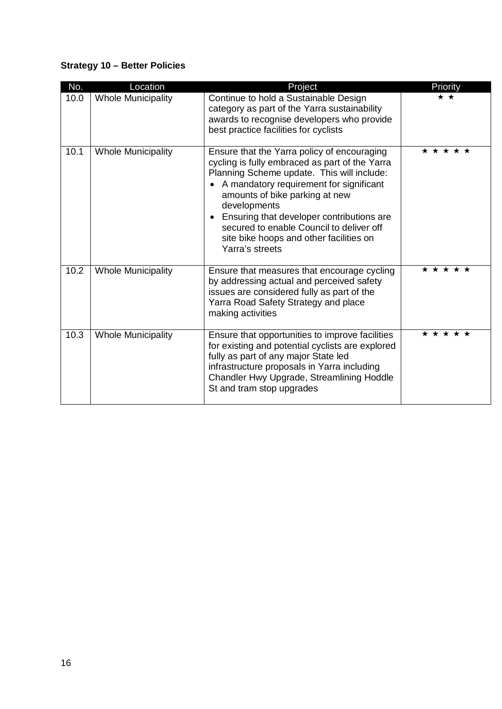## **Strategy 10 – Better Policies**

| No.  | Location                  | Project                                                                                                                                                                                                                                                                                                                                                                                                                   | Priority  |
|------|---------------------------|---------------------------------------------------------------------------------------------------------------------------------------------------------------------------------------------------------------------------------------------------------------------------------------------------------------------------------------------------------------------------------------------------------------------------|-----------|
| 10.0 | <b>Whole Municipality</b> | Continue to hold a Sustainable Design<br>category as part of the Yarra sustainability<br>awards to recognise developers who provide<br>best practice facilities for cyclists                                                                                                                                                                                                                                              | * *       |
| 10.1 | <b>Whole Municipality</b> | Ensure that the Yarra policy of encouraging<br>cycling is fully embraced as part of the Yarra<br>Planning Scheme update. This will include:<br>A mandatory requirement for significant<br>$\bullet$<br>amounts of bike parking at new<br>developments<br>Ensuring that developer contributions are<br>$\bullet$<br>secured to enable Council to deliver off<br>site bike hoops and other facilities on<br>Yarra's streets | * * * * * |
| 10.2 | <b>Whole Municipality</b> | Ensure that measures that encourage cycling<br>by addressing actual and perceived safety<br>issues are considered fully as part of the<br>Yarra Road Safety Strategy and place<br>making activities                                                                                                                                                                                                                       | * * * * * |
| 10.3 | <b>Whole Municipality</b> | Ensure that opportunities to improve facilities<br>for existing and potential cyclists are explored<br>fully as part of any major State led<br>infrastructure proposals in Yarra including<br>Chandler Hwy Upgrade, Streamlining Hoddle<br>St and tram stop upgrades                                                                                                                                                      | * * * * * |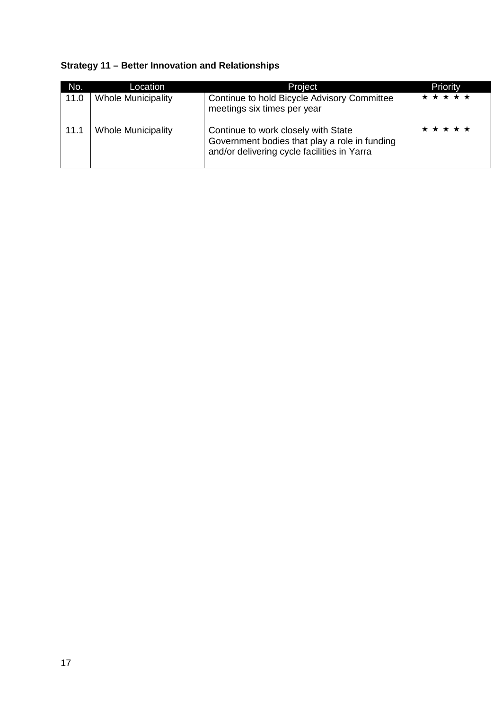## **Strategy 11 – Better Innovation and Relationships**

| No.  | Location                  | Project                                                                                                                             | Priority  |
|------|---------------------------|-------------------------------------------------------------------------------------------------------------------------------------|-----------|
| 11.0 | <b>Whole Municipality</b> | Continue to hold Bicycle Advisory Committee<br>meetings six times per year                                                          | * * * * * |
| 11.1 | <b>Whole Municipality</b> | Continue to work closely with State<br>Government bodies that play a role in funding<br>and/or delivering cycle facilities in Yarra | * * * * * |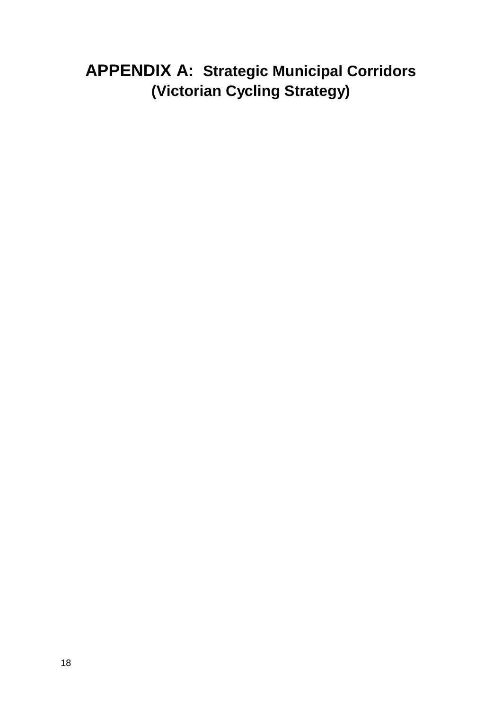## **APPENDIX A: Strategic Municipal Corridors (Victorian Cycling Strategy)**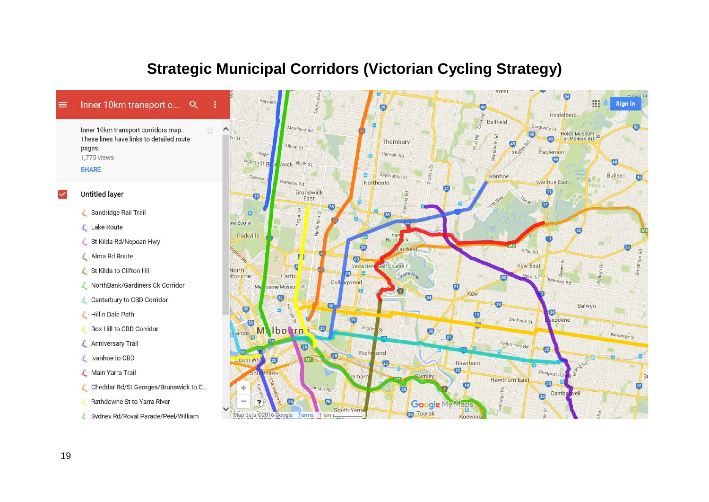## **Strategic Municipal Corridors (Victorian Cycling Strategy)**